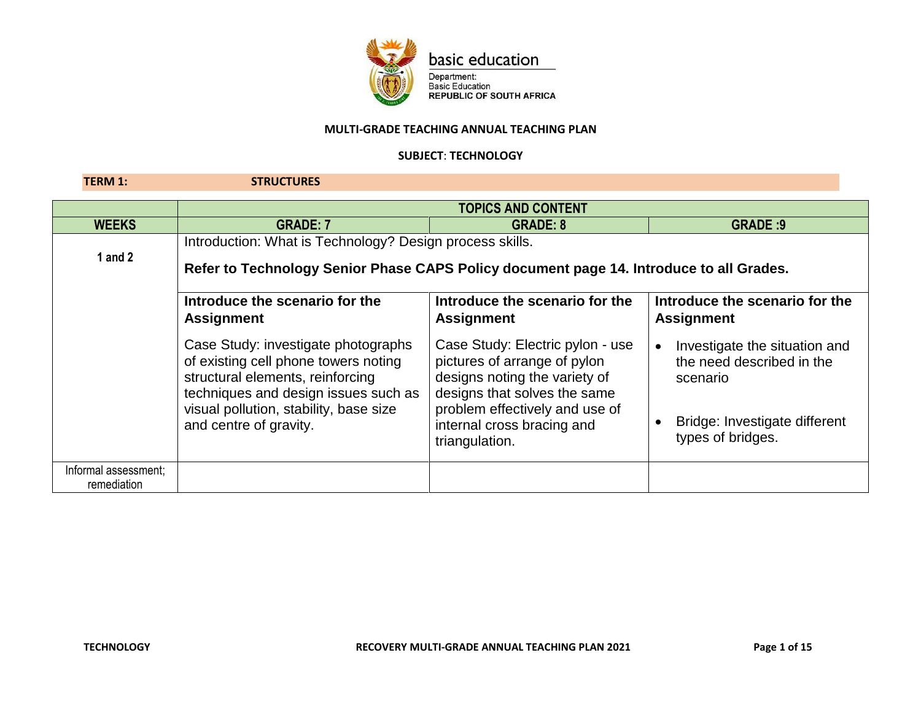

basic education

Department:<br>Basic Education<br>REPUBLIC OF SOUTH AFRICA

### **MULTI-GRADE TEACHING ANNUAL TEACHING PLAN**

### **SUBJECT**: **TECHNOLOGY**

**TERM 1: STRUCTURES**

|                                     | <b>TOPICS AND CONTENT</b>                                                                                                                                                                                                   |                                                                                                                                                                                                                     |                                                                                                                              |
|-------------------------------------|-----------------------------------------------------------------------------------------------------------------------------------------------------------------------------------------------------------------------------|---------------------------------------------------------------------------------------------------------------------------------------------------------------------------------------------------------------------|------------------------------------------------------------------------------------------------------------------------------|
| <b>WEEKS</b>                        | <b>GRADE: 7</b>                                                                                                                                                                                                             | <b>GRADE: 8</b>                                                                                                                                                                                                     | <b>GRADE: 9</b>                                                                                                              |
| 1 and $2$                           | Introduction: What is Technology? Design process skills.<br>Refer to Technology Senior Phase CAPS Policy document page 14. Introduce to all Grades.                                                                         |                                                                                                                                                                                                                     |                                                                                                                              |
|                                     | Introduce the scenario for the<br><b>Assignment</b>                                                                                                                                                                         | Introduce the scenario for the<br><b>Assignment</b>                                                                                                                                                                 | Introduce the scenario for the<br><b>Assignment</b>                                                                          |
|                                     | Case Study: investigate photographs<br>of existing cell phone towers noting<br>structural elements, reinforcing<br>techniques and design issues such as<br>visual pollution, stability, base size<br>and centre of gravity. | Case Study: Electric pylon - use<br>pictures of arrange of pylon<br>designs noting the variety of<br>designs that solves the same<br>problem effectively and use of<br>internal cross bracing and<br>triangulation. | Investigate the situation and<br>the need described in the<br>scenario<br>Bridge: Investigate different<br>types of bridges. |
| Informal assessment;<br>remediation |                                                                                                                                                                                                                             |                                                                                                                                                                                                                     |                                                                                                                              |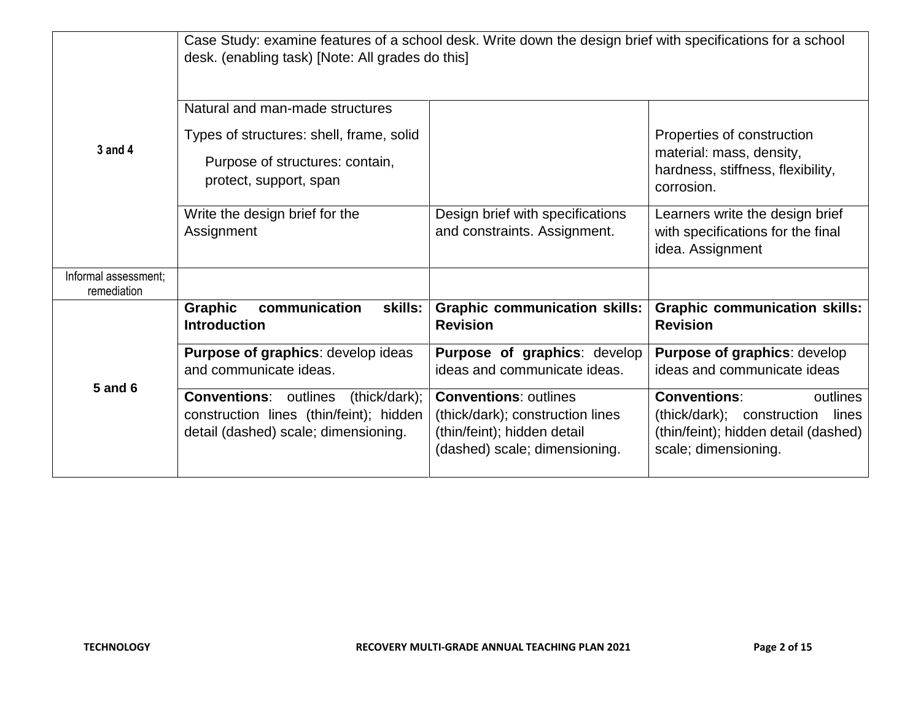|                                     | Case Study: examine features of a school desk. Write down the design brief with specifications for a school<br>desk. (enabling task) [Note: All grades do this] |                                                                                                                                  |                                                                                                                                        |
|-------------------------------------|-----------------------------------------------------------------------------------------------------------------------------------------------------------------|----------------------------------------------------------------------------------------------------------------------------------|----------------------------------------------------------------------------------------------------------------------------------------|
| 3 and 4                             | Natural and man-made structures                                                                                                                                 |                                                                                                                                  |                                                                                                                                        |
|                                     | Types of structures: shell, frame, solid<br>Purpose of structures: contain,<br>protect, support, span                                                           |                                                                                                                                  | Properties of construction<br>material: mass, density,<br>hardness, stiffness, flexibility,<br>corrosion.                              |
|                                     | Write the design brief for the<br>Assignment                                                                                                                    | Design brief with specifications<br>and constraints. Assignment.                                                                 | Learners write the design brief<br>with specifications for the final<br>idea. Assignment                                               |
| Informal assessment;<br>remediation |                                                                                                                                                                 |                                                                                                                                  |                                                                                                                                        |
| <b>5 and 6</b>                      | communication<br><b>Graphic</b><br>skills:<br><b>Introduction</b>                                                                                               | <b>Graphic communication skills:</b><br><b>Revision</b>                                                                          | <b>Graphic communication skills:</b><br><b>Revision</b>                                                                                |
|                                     | Purpose of graphics: develop ideas<br>and communicate ideas.                                                                                                    | Purpose of graphics: develop<br>ideas and communicate ideas.                                                                     | Purpose of graphics: develop<br>ideas and communicate ideas                                                                            |
|                                     | <b>Conventions:</b> outlines (thick/dark);<br>construction lines (thin/feint); hidden<br>detail (dashed) scale; dimensioning.                                   | <b>Conventions: outlines</b><br>(thick/dark); construction lines<br>(thin/feint); hidden detail<br>(dashed) scale; dimensioning. | <b>Conventions:</b><br>outlines<br>(thick/dark); construction<br>lines<br>(thin/feint); hidden detail (dashed)<br>scale; dimensioning. |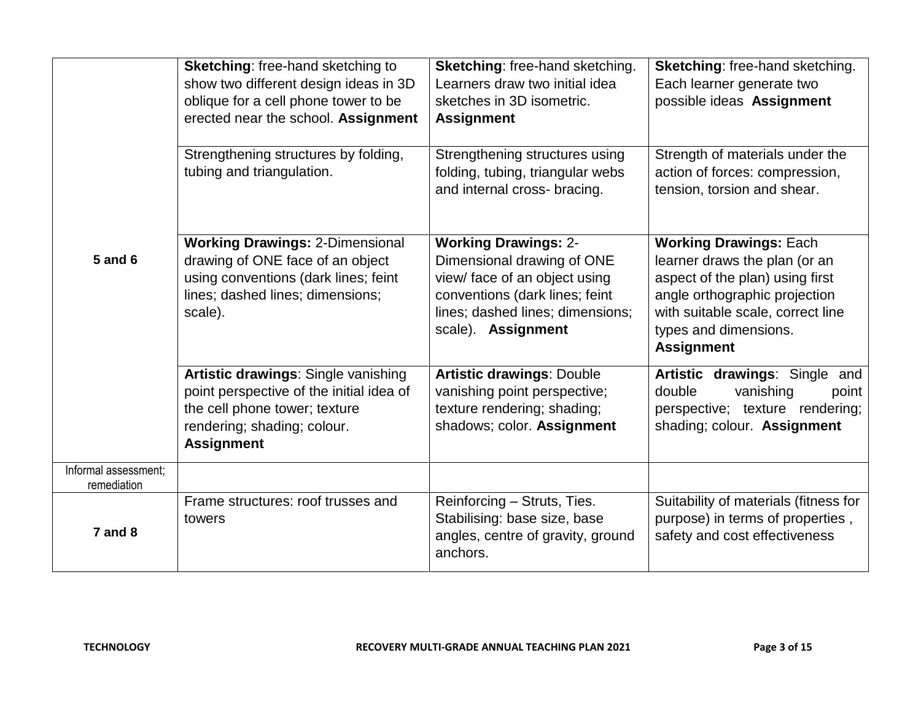|                                     | <b>Sketching: free-hand sketching to</b><br>show two different design ideas in 3D<br>oblique for a cell phone tower to be<br>erected near the school. Assignment     | Sketching: free-hand sketching.<br>Learners draw two initial idea<br>sketches in 3D isometric.<br><b>Assignment</b>                                                                    | Sketching: free-hand sketching.<br>Each learner generate two<br>possible ideas Assignment                                                                                                                             |
|-------------------------------------|----------------------------------------------------------------------------------------------------------------------------------------------------------------------|----------------------------------------------------------------------------------------------------------------------------------------------------------------------------------------|-----------------------------------------------------------------------------------------------------------------------------------------------------------------------------------------------------------------------|
|                                     | Strengthening structures by folding,<br>tubing and triangulation.                                                                                                    | Strengthening structures using<br>folding, tubing, triangular webs<br>and internal cross- bracing.                                                                                     | Strength of materials under the<br>action of forces: compression,<br>tension, torsion and shear.                                                                                                                      |
| <b>5 and 6</b>                      | <b>Working Drawings: 2-Dimensional</b><br>drawing of ONE face of an object<br>using conventions (dark lines; feint<br>lines; dashed lines; dimensions;<br>scale).    | <b>Working Drawings: 2-</b><br>Dimensional drawing of ONE<br>view/ face of an object using<br>conventions (dark lines; feint<br>lines; dashed lines; dimensions;<br>scale). Assignment | <b>Working Drawings: Each</b><br>learner draws the plan (or an<br>aspect of the plan) using first<br>angle orthographic projection<br>with suitable scale, correct line<br>types and dimensions.<br><b>Assignment</b> |
|                                     | Artistic drawings: Single vanishing<br>point perspective of the initial idea of<br>the cell phone tower; texture<br>rendering; shading; colour.<br><b>Assignment</b> | <b>Artistic drawings: Double</b><br>vanishing point perspective;<br>texture rendering; shading;<br>shadows; color. Assignment                                                          | Artistic drawings: Single and<br>double<br>vanishing<br>point<br>perspective; texture rendering;<br>shading; colour. Assignment                                                                                       |
| Informal assessment;<br>remediation |                                                                                                                                                                      |                                                                                                                                                                                        |                                                                                                                                                                                                                       |
| $7$ and $8$                         | Frame structures: roof trusses and<br>towers                                                                                                                         | Reinforcing - Struts, Ties.<br>Stabilising: base size, base<br>angles, centre of gravity, ground<br>anchors.                                                                           | Suitability of materials (fitness for<br>purpose) in terms of properties,<br>safety and cost effectiveness                                                                                                            |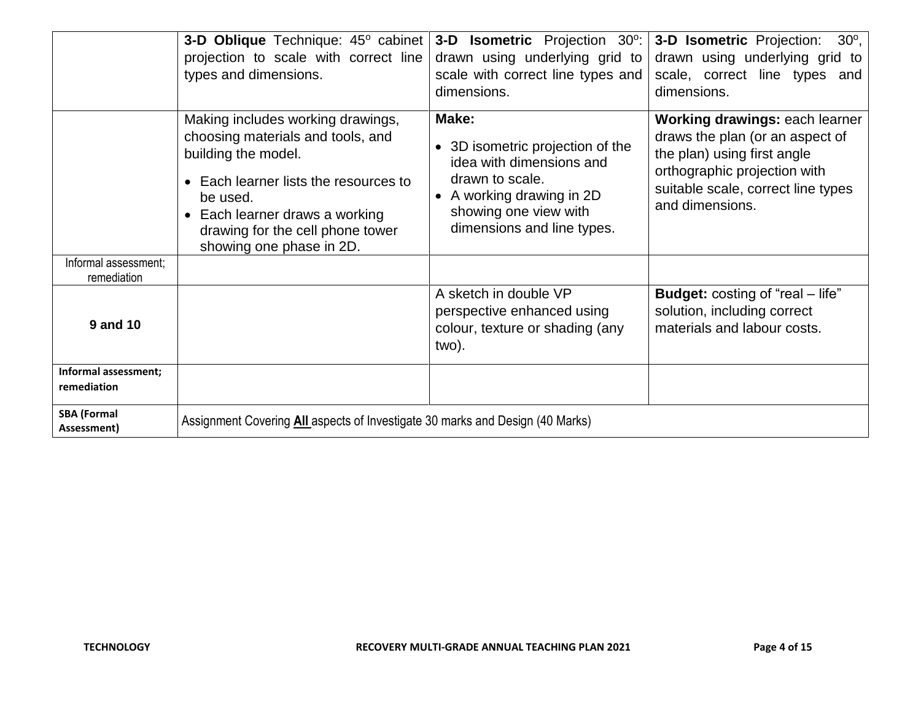|                                     | 3-D Oblique Technique: 45° cabinet                                                                                                                                                                                                               | 3-D Isometric Projection 30°:                                                                                                                                                         | 3-D Isometric Projection:<br>$30^\circ$ ,                                                                                                                                                 |
|-------------------------------------|--------------------------------------------------------------------------------------------------------------------------------------------------------------------------------------------------------------------------------------------------|---------------------------------------------------------------------------------------------------------------------------------------------------------------------------------------|-------------------------------------------------------------------------------------------------------------------------------------------------------------------------------------------|
|                                     | projection to scale with correct line                                                                                                                                                                                                            | drawn using underlying grid to                                                                                                                                                        | drawn using underlying grid to                                                                                                                                                            |
|                                     | types and dimensions.                                                                                                                                                                                                                            | scale with correct line types and                                                                                                                                                     | scale, correct line types and                                                                                                                                                             |
|                                     |                                                                                                                                                                                                                                                  | dimensions.                                                                                                                                                                           | dimensions.                                                                                                                                                                               |
|                                     | Making includes working drawings,<br>choosing materials and tools, and<br>building the model.<br>Each learner lists the resources to<br>be used.<br>Each learner draws a working<br>drawing for the cell phone tower<br>showing one phase in 2D. | Make:<br>3D isometric projection of the<br>idea with dimensions and<br>drawn to scale.<br>A working drawing in 2D<br>$\bullet$<br>showing one view with<br>dimensions and line types. | Working drawings: each learner<br>draws the plan (or an aspect of<br>the plan) using first angle<br>orthographic projection with<br>suitable scale, correct line types<br>and dimensions. |
| Informal assessment;<br>remediation |                                                                                                                                                                                                                                                  |                                                                                                                                                                                       |                                                                                                                                                                                           |
| <b>9 and 10</b>                     |                                                                                                                                                                                                                                                  | A sketch in double VP<br>perspective enhanced using<br>colour, texture or shading (any<br>two).                                                                                       | <b>Budget:</b> costing of "real – life"<br>solution, including correct<br>materials and labour costs.                                                                                     |
| Informal assessment;                |                                                                                                                                                                                                                                                  |                                                                                                                                                                                       |                                                                                                                                                                                           |
| remediation                         |                                                                                                                                                                                                                                                  |                                                                                                                                                                                       |                                                                                                                                                                                           |
| <b>SBA (Formal</b><br>Assessment)   | Assignment Covering All aspects of Investigate 30 marks and Design (40 Marks)                                                                                                                                                                    |                                                                                                                                                                                       |                                                                                                                                                                                           |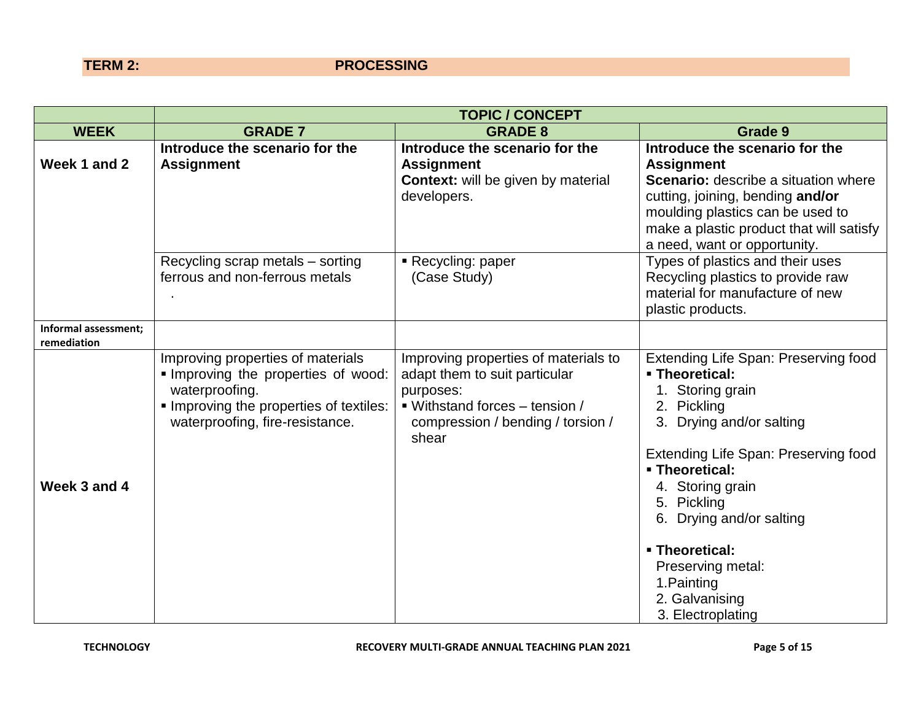## **TERM 2:** PROCESSING

|                                     |                                                                                                                                                                      | <b>TOPIC / CONCEPT</b>                                                                                                                                             |                                                                                                                                                                                                                                                                                                                                                    |
|-------------------------------------|----------------------------------------------------------------------------------------------------------------------------------------------------------------------|--------------------------------------------------------------------------------------------------------------------------------------------------------------------|----------------------------------------------------------------------------------------------------------------------------------------------------------------------------------------------------------------------------------------------------------------------------------------------------------------------------------------------------|
| <b>WEEK</b>                         | <b>GRADE 7</b>                                                                                                                                                       | <b>GRADE 8</b>                                                                                                                                                     | Grade 9                                                                                                                                                                                                                                                                                                                                            |
| Week 1 and 2                        | Introduce the scenario for the<br><b>Assignment</b>                                                                                                                  | Introduce the scenario for the<br><b>Assignment</b><br><b>Context:</b> will be given by material<br>developers.                                                    | Introduce the scenario for the<br><b>Assignment</b><br>Scenario: describe a situation where<br>cutting, joining, bending and/or<br>moulding plastics can be used to<br>make a plastic product that will satisfy<br>a need, want or opportunity.                                                                                                    |
|                                     | Recycling scrap metals – sorting<br>ferrous and non-ferrous metals                                                                                                   | Recycling: paper<br>(Case Study)                                                                                                                                   | Types of plastics and their uses<br>Recycling plastics to provide raw<br>material for manufacture of new<br>plastic products.                                                                                                                                                                                                                      |
| Informal assessment;<br>remediation |                                                                                                                                                                      |                                                                                                                                                                    |                                                                                                                                                                                                                                                                                                                                                    |
| Week 3 and 4                        | Improving properties of materials<br>Improving the properties of wood:<br>waterproofing.<br>Improving the properties of textiles:<br>waterproofing, fire-resistance. | Improving properties of materials to<br>adapt them to suit particular<br>purposes:<br>■ Withstand forces – tension /<br>compression / bending / torsion /<br>shear | Extending Life Span: Preserving food<br><b>- Theoretical:</b><br>1. Storing grain<br>2. Pickling<br>3. Drying and/or salting<br>Extending Life Span: Preserving food<br>- Theoretical:<br>4. Storing grain<br>5. Pickling<br>6. Drying and/or salting<br>- Theoretical:<br>Preserving metal:<br>1. Painting<br>2. Galvanising<br>3. Electroplating |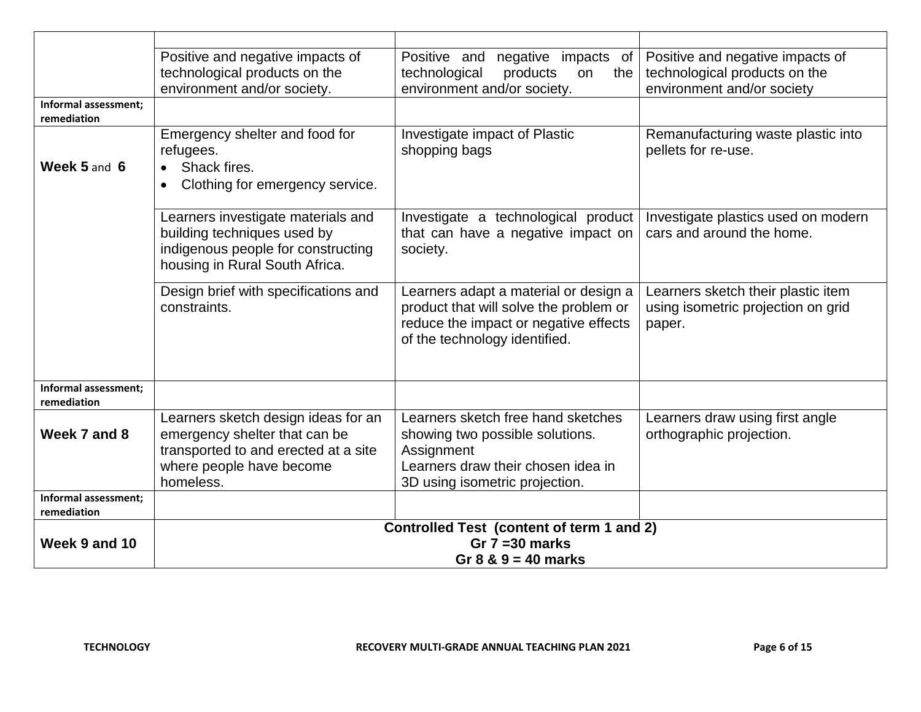|                                     | Positive and negative impacts of<br>technological products on the<br>environment and/or society.                                                      | Positive and<br>negative impacts of<br>technological<br>products<br>the<br>on<br>environment and/or society.                                                | Positive and negative impacts of<br>technological products on the<br>environment and/or society |
|-------------------------------------|-------------------------------------------------------------------------------------------------------------------------------------------------------|-------------------------------------------------------------------------------------------------------------------------------------------------------------|-------------------------------------------------------------------------------------------------|
| Informal assessment;<br>remediation |                                                                                                                                                       |                                                                                                                                                             |                                                                                                 |
| Week 5 and 6                        | Emergency shelter and food for<br>refugees.<br>Shack fires.                                                                                           | Investigate impact of Plastic<br>shopping bags                                                                                                              | Remanufacturing waste plastic into<br>pellets for re-use.                                       |
|                                     | Clothing for emergency service.<br>$\bullet$                                                                                                          |                                                                                                                                                             |                                                                                                 |
|                                     | Learners investigate materials and<br>building techniques used by<br>indigenous people for constructing<br>housing in Rural South Africa.             | Investigate a technological product<br>that can have a negative impact on<br>society.                                                                       | Investigate plastics used on modern<br>cars and around the home.                                |
|                                     | Design brief with specifications and<br>constraints.                                                                                                  | Learners adapt a material or design a<br>product that will solve the problem or<br>reduce the impact or negative effects<br>of the technology identified.   | Learners sketch their plastic item<br>using isometric projection on grid<br>paper.              |
| Informal assessment;<br>remediation |                                                                                                                                                       |                                                                                                                                                             |                                                                                                 |
| Week 7 and 8                        | Learners sketch design ideas for an<br>emergency shelter that can be<br>transported to and erected at a site<br>where people have become<br>homeless. | Learners sketch free hand sketches<br>showing two possible solutions.<br>Assignment<br>Learners draw their chosen idea in<br>3D using isometric projection. | Learners draw using first angle<br>orthographic projection.                                     |
| Informal assessment;<br>remediation |                                                                                                                                                       |                                                                                                                                                             |                                                                                                 |
| Week 9 and 10                       | Controlled Test (content of term 1 and 2)<br>Gr $7 = 30$ marks<br>Gr $8 \& 9 = 40$ marks                                                              |                                                                                                                                                             |                                                                                                 |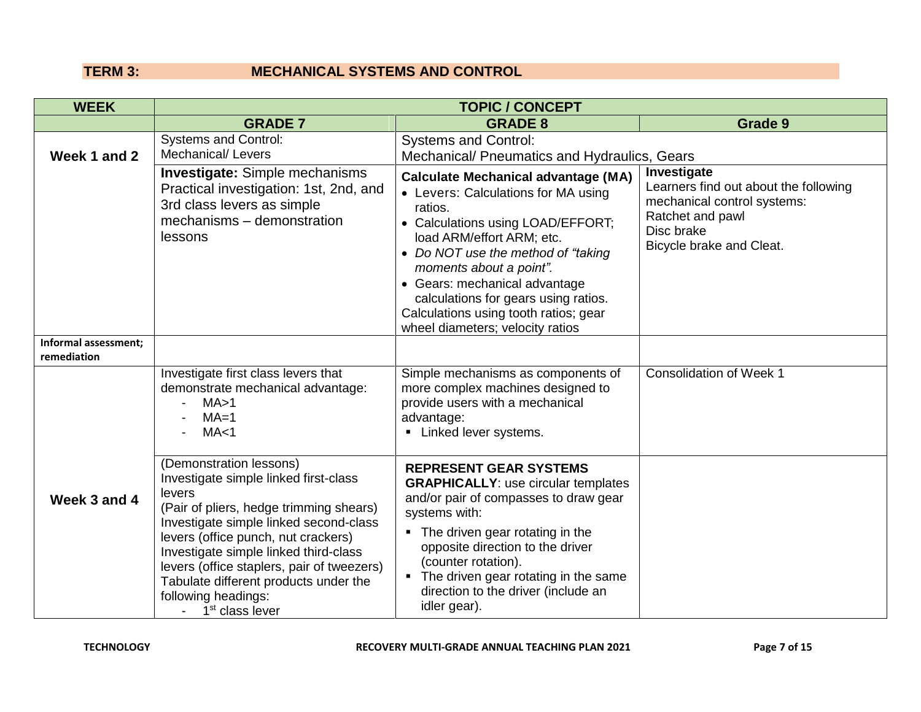## **TERM 3: MECHANICAL SYSTEMS AND CONTROL**

| <b>WEEK</b>                         |                                                                                                                                                                                                                                                                                                                                                                                              | <b>TOPIC / CONCEPT</b>                                                                                                                                                                                                                                                                                                                                                                 |                                                                                                                                                   |
|-------------------------------------|----------------------------------------------------------------------------------------------------------------------------------------------------------------------------------------------------------------------------------------------------------------------------------------------------------------------------------------------------------------------------------------------|----------------------------------------------------------------------------------------------------------------------------------------------------------------------------------------------------------------------------------------------------------------------------------------------------------------------------------------------------------------------------------------|---------------------------------------------------------------------------------------------------------------------------------------------------|
|                                     | <b>GRADE 7</b>                                                                                                                                                                                                                                                                                                                                                                               | <b>GRADE 8</b>                                                                                                                                                                                                                                                                                                                                                                         | Grade 9                                                                                                                                           |
| Week 1 and 2                        | <b>Systems and Control:</b><br><b>Mechanical/ Levers</b>                                                                                                                                                                                                                                                                                                                                     | <b>Systems and Control:</b><br>Mechanical/ Pneumatics and Hydraulics, Gears                                                                                                                                                                                                                                                                                                            |                                                                                                                                                   |
|                                     | <b>Investigate:</b> Simple mechanisms<br>Practical investigation: 1st, 2nd, and<br>3rd class levers as simple<br>mechanisms - demonstration<br>lessons                                                                                                                                                                                                                                       | <b>Calculate Mechanical advantage (MA)</b><br>• Levers: Calculations for MA using<br>ratios.<br>• Calculations using LOAD/EFFORT;<br>load ARM/effort ARM; etc.<br>• Do NOT use the method of "taking"<br>moments about a point".<br>• Gears: mechanical advantage<br>calculations for gears using ratios.<br>Calculations using tooth ratios; gear<br>wheel diameters; velocity ratios | Investigate<br>Learners find out about the following<br>mechanical control systems:<br>Ratchet and pawl<br>Disc brake<br>Bicycle brake and Cleat. |
| Informal assessment;<br>remediation |                                                                                                                                                                                                                                                                                                                                                                                              |                                                                                                                                                                                                                                                                                                                                                                                        |                                                                                                                                                   |
|                                     | Investigate first class levers that<br>demonstrate mechanical advantage:<br>MA > 1<br>$MA=1$<br>MA < 1                                                                                                                                                                                                                                                                                       | Simple mechanisms as components of<br>more complex machines designed to<br>provide users with a mechanical<br>advantage:<br>• Linked lever systems.                                                                                                                                                                                                                                    | <b>Consolidation of Week 1</b>                                                                                                                    |
| Week 3 and 4                        | (Demonstration lessons)<br>Investigate simple linked first-class<br>levers<br>(Pair of pliers, hedge trimming shears)<br>Investigate simple linked second-class<br>levers (office punch, nut crackers)<br>Investigate simple linked third-class<br>levers (office staplers, pair of tweezers)<br>Tabulate different products under the<br>following headings:<br>1 <sup>st</sup> class lever | <b>REPRESENT GEAR SYSTEMS</b><br><b>GRAPHICALLY:</b> use circular templates<br>and/or pair of compasses to draw gear<br>systems with:<br>• The driven gear rotating in the<br>opposite direction to the driver<br>(counter rotation).<br>• The driven gear rotating in the same<br>direction to the driver (include an<br>idler gear).                                                 |                                                                                                                                                   |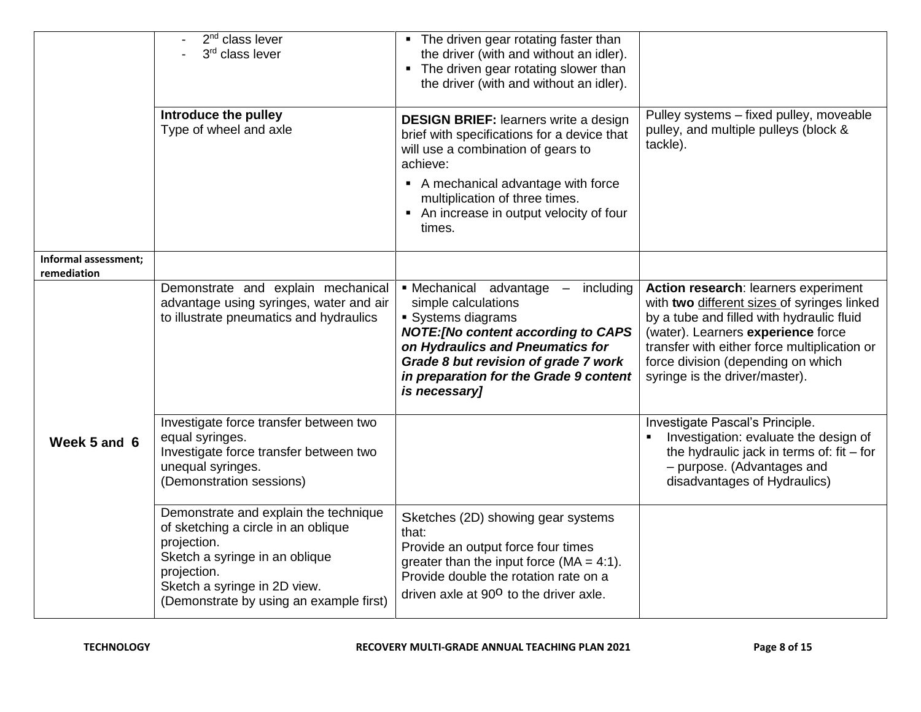|                                     | 2 <sup>nd</sup> class lever<br>3rd class lever<br>Introduce the pulley<br>Type of wheel and axle                                                                                                                        | • The driven gear rotating faster than<br>the driver (with and without an idler).<br>• The driven gear rotating slower than<br>the driver (with and without an idler).<br><b>DESIGN BRIEF: learners write a design</b><br>brief with specifications for a device that<br>will use a combination of gears to<br>achieve:<br>• A mechanical advantage with force<br>multiplication of three times.<br>• An increase in output velocity of four<br>times. | Pulley systems - fixed pulley, moveable<br>pulley, and multiple pulleys (block &<br>tackle).                                                                                                                                                                                                   |
|-------------------------------------|-------------------------------------------------------------------------------------------------------------------------------------------------------------------------------------------------------------------------|--------------------------------------------------------------------------------------------------------------------------------------------------------------------------------------------------------------------------------------------------------------------------------------------------------------------------------------------------------------------------------------------------------------------------------------------------------|------------------------------------------------------------------------------------------------------------------------------------------------------------------------------------------------------------------------------------------------------------------------------------------------|
| Informal assessment;<br>remediation |                                                                                                                                                                                                                         |                                                                                                                                                                                                                                                                                                                                                                                                                                                        |                                                                                                                                                                                                                                                                                                |
|                                     | Demonstrate and explain mechanical<br>advantage using syringes, water and air<br>to illustrate pneumatics and hydraulics                                                                                                | • Mechanical advantage – including<br>simple calculations<br>• Systems diagrams<br><b>NOTE:[No content according to CAPS</b><br>on Hydraulics and Pneumatics for<br>Grade 8 but revision of grade 7 work<br>in preparation for the Grade 9 content<br>is necessary]                                                                                                                                                                                    | Action research: learners experiment<br>with two different sizes of syringes linked<br>by a tube and filled with hydraulic fluid<br>(water). Learners experience force<br>transfer with either force multiplication or<br>force division (depending on which<br>syringe is the driver/master). |
| Week 5 and 6                        | Investigate force transfer between two<br>equal syringes.<br>Investigate force transfer between two<br>unequal syringes.<br>(Demonstration sessions)                                                                    |                                                                                                                                                                                                                                                                                                                                                                                                                                                        | Investigate Pascal's Principle.<br>Investigation: evaluate the design of<br>the hydraulic jack in terms of: fit $-$ for<br>- purpose. (Advantages and<br>disadvantages of Hydraulics)                                                                                                          |
|                                     | Demonstrate and explain the technique<br>of sketching a circle in an oblique<br>projection.<br>Sketch a syringe in an oblique<br>projection.<br>Sketch a syringe in 2D view.<br>(Demonstrate by using an example first) | Sketches (2D) showing gear systems<br>that:<br>Provide an output force four times<br>greater than the input force $(MA = 4:1)$ .<br>Provide double the rotation rate on a<br>driven axle at 90 <sup>o</sup> to the driver axle.                                                                                                                                                                                                                        |                                                                                                                                                                                                                                                                                                |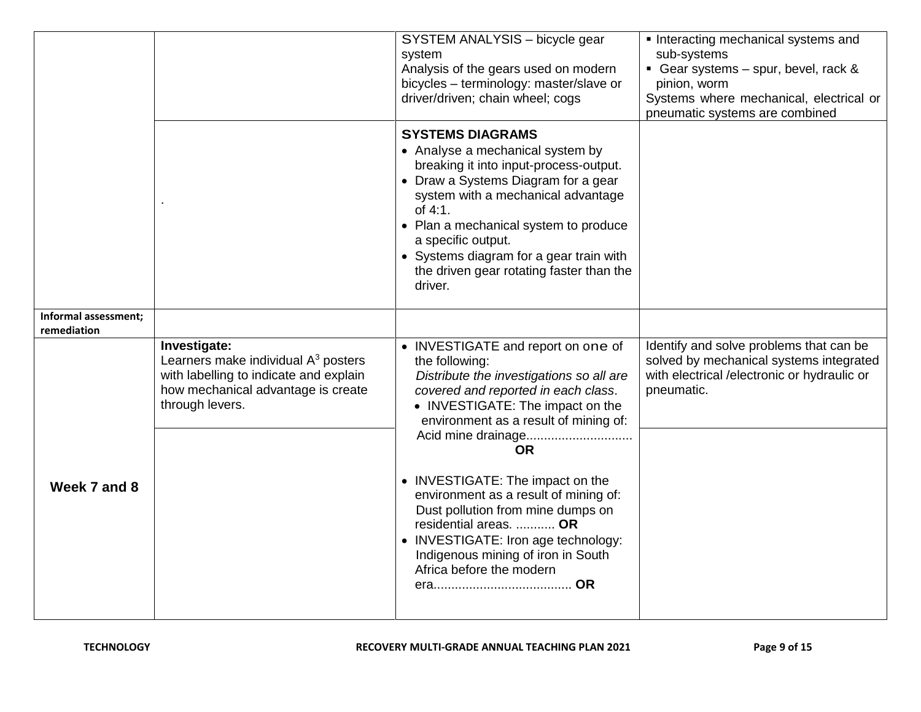|                                     |                                                                                                                                                          | SYSTEM ANALYSIS - bicycle gear<br>system<br>Analysis of the gears used on modern<br>bicycles - terminology: master/slave or<br>driver/driven; chain wheel; cogs                                                                                                                                                                                                | Interacting mechanical systems and<br>sub-systems<br>Gear systems - spur, bevel, rack &<br>pinion, worm<br>Systems where mechanical, electrical or<br>pneumatic systems are combined |
|-------------------------------------|----------------------------------------------------------------------------------------------------------------------------------------------------------|----------------------------------------------------------------------------------------------------------------------------------------------------------------------------------------------------------------------------------------------------------------------------------------------------------------------------------------------------------------|--------------------------------------------------------------------------------------------------------------------------------------------------------------------------------------|
|                                     |                                                                                                                                                          | <b>SYSTEMS DIAGRAMS</b><br>• Analyse a mechanical system by<br>breaking it into input-process-output.<br>• Draw a Systems Diagram for a gear<br>system with a mechanical advantage<br>of 4:1.<br>• Plan a mechanical system to produce<br>a specific output.<br>• Systems diagram for a gear train with<br>the driven gear rotating faster than the<br>driver. |                                                                                                                                                                                      |
| Informal assessment;<br>remediation |                                                                                                                                                          |                                                                                                                                                                                                                                                                                                                                                                |                                                                                                                                                                                      |
|                                     | Investigate:<br>Learners make individual $A3$ posters<br>with labelling to indicate and explain<br>how mechanical advantage is create<br>through levers. | • INVESTIGATE and report on one of<br>the following:<br>Distribute the investigations so all are<br>covered and reported in each class.<br>• INVESTIGATE: The impact on the<br>environment as a result of mining of:<br><b>OR</b>                                                                                                                              | Identify and solve problems that can be<br>solved by mechanical systems integrated<br>with electrical /electronic or hydraulic or<br>pneumatic.                                      |
| Week 7 and 8                        |                                                                                                                                                          | • INVESTIGATE: The impact on the<br>environment as a result of mining of:<br>Dust pollution from mine dumps on<br>residential areas.  OR<br>• INVESTIGATE: Iron age technology:<br>Indigenous mining of iron in South<br>Africa before the modern                                                                                                              |                                                                                                                                                                                      |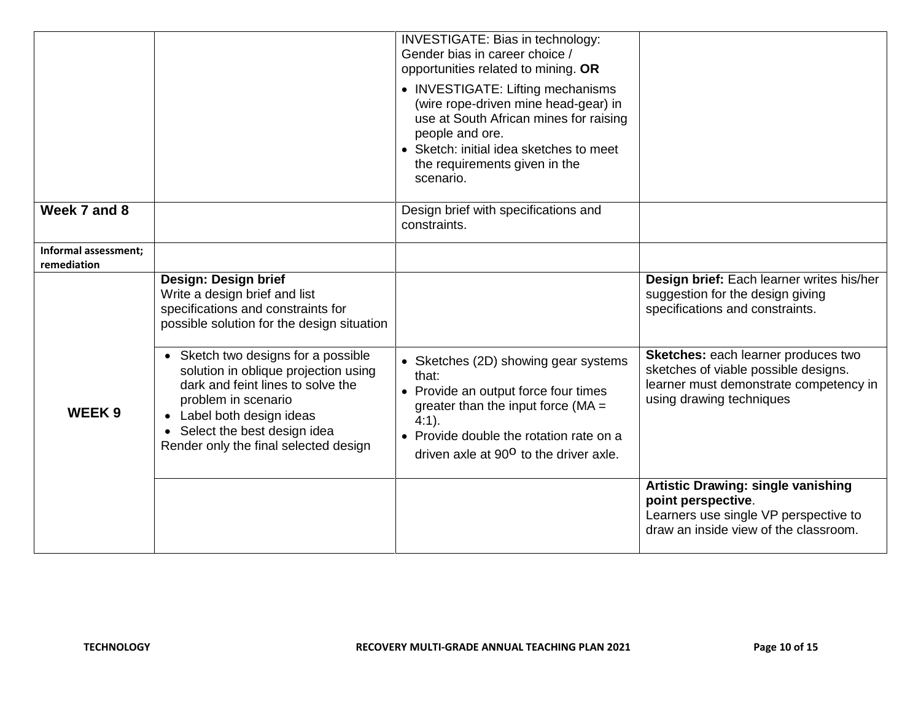|                                     |                                                                                                                                                                                                                                                         | INVESTIGATE: Bias in technology:<br>Gender bias in career choice /<br>opportunities related to mining. OR<br>• INVESTIGATE: Lifting mechanisms<br>(wire rope-driven mine head-gear) in<br>use at South African mines for raising<br>people and ore.<br>• Sketch: initial idea sketches to meet<br>the requirements given in the<br>scenario. |                                                                                                                                                   |
|-------------------------------------|---------------------------------------------------------------------------------------------------------------------------------------------------------------------------------------------------------------------------------------------------------|----------------------------------------------------------------------------------------------------------------------------------------------------------------------------------------------------------------------------------------------------------------------------------------------------------------------------------------------|---------------------------------------------------------------------------------------------------------------------------------------------------|
| Week 7 and 8                        |                                                                                                                                                                                                                                                         | Design brief with specifications and<br>constraints.                                                                                                                                                                                                                                                                                         |                                                                                                                                                   |
| Informal assessment;<br>remediation |                                                                                                                                                                                                                                                         |                                                                                                                                                                                                                                                                                                                                              |                                                                                                                                                   |
|                                     | Design: Design brief<br>Write a design brief and list<br>specifications and constraints for<br>possible solution for the design situation                                                                                                               |                                                                                                                                                                                                                                                                                                                                              | Design brief: Each learner writes his/her<br>suggestion for the design giving<br>specifications and constraints.                                  |
| <b>WEEK9</b>                        | • Sketch two designs for a possible<br>solution in oblique projection using<br>dark and feint lines to solve the<br>problem in scenario<br>Label both design ideas<br>Select the best design idea<br>$\bullet$<br>Render only the final selected design | • Sketches (2D) showing gear systems<br>that:<br>• Provide an output force four times<br>greater than the input force ( $MA =$<br>$4:1$ ).<br>• Provide double the rotation rate on a<br>driven axle at 90 <sup>o</sup> to the driver axle.                                                                                                  | Sketches: each learner produces two<br>sketches of viable possible designs.<br>learner must demonstrate competency in<br>using drawing techniques |
|                                     |                                                                                                                                                                                                                                                         |                                                                                                                                                                                                                                                                                                                                              | <b>Artistic Drawing: single vanishing</b><br>point perspective.<br>Learners use single VP perspective to<br>draw an inside view of the classroom. |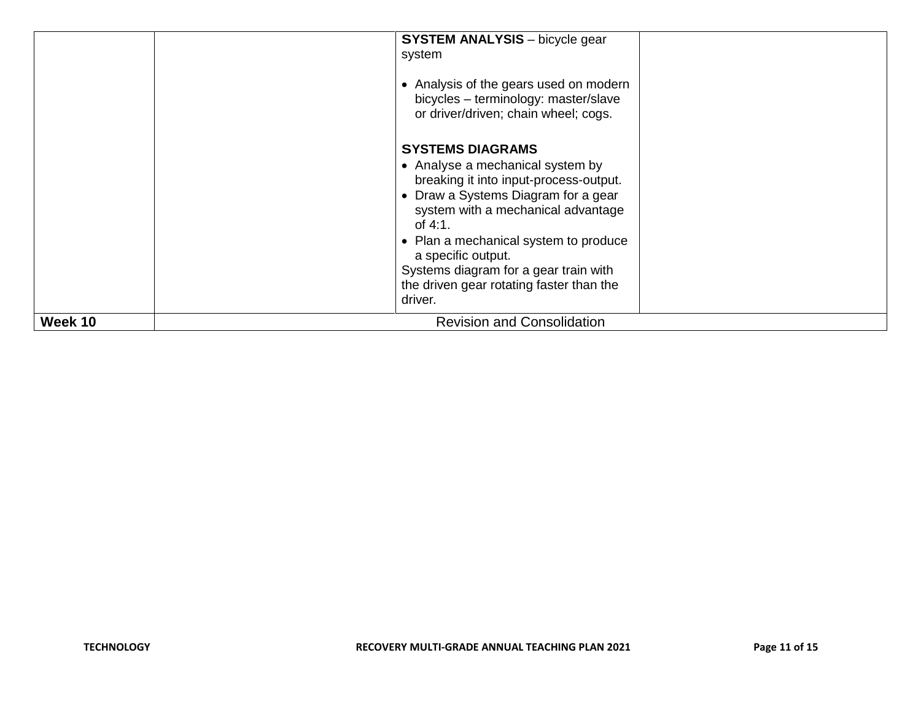|         | <b>SYSTEM ANALYSIS</b> - bicycle gear<br>system<br>• Analysis of the gears used on modern<br>bicycles - terminology: master/slave<br>or driver/driven; chain wheel; cogs.<br><b>SYSTEMS DIAGRAMS</b><br>• Analyse a mechanical system by<br>breaking it into input-process-output.<br>• Draw a Systems Diagram for a gear<br>system with a mechanical advantage<br>of $4:1$ .<br>• Plan a mechanical system to produce<br>a specific output.<br>Systems diagram for a gear train with<br>the driven gear rotating faster than the<br>driver. |
|---------|----------------------------------------------------------------------------------------------------------------------------------------------------------------------------------------------------------------------------------------------------------------------------------------------------------------------------------------------------------------------------------------------------------------------------------------------------------------------------------------------------------------------------------------------|
| Week 10 | <b>Revision and Consolidation</b>                                                                                                                                                                                                                                                                                                                                                                                                                                                                                                            |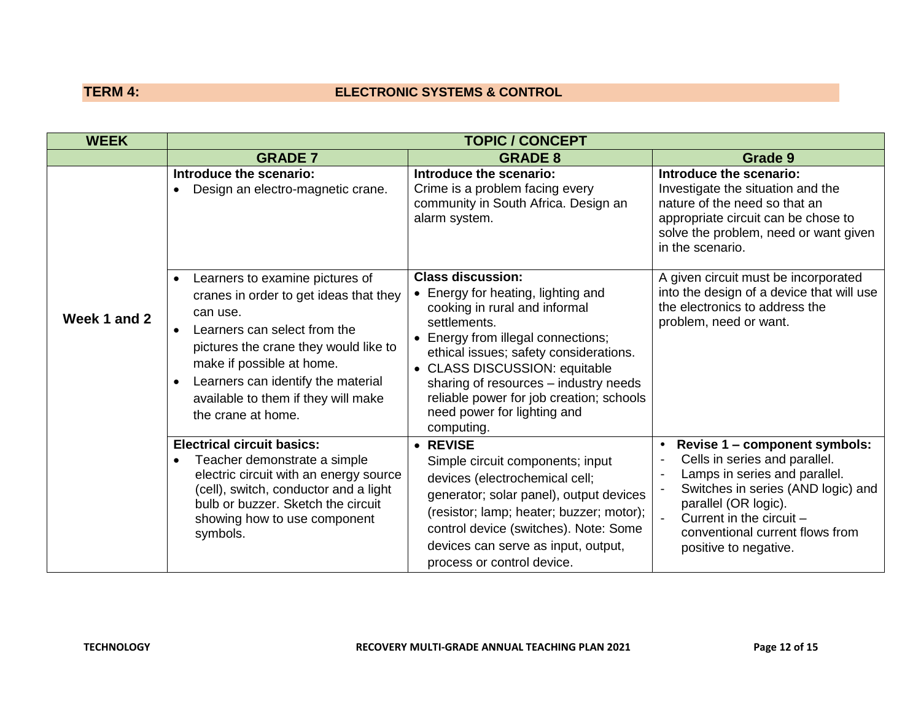# **TERM 4: ELECTRONIC SYSTEMS & CONTROL**

| <b>WEEK</b>  |                                                                                                                                                                                                                                                                                                                                       | <b>TOPIC / CONCEPT</b>                                                                                                                                                                                                                                                                                                                                             |                                                                                                                                                                                                                                                       |
|--------------|---------------------------------------------------------------------------------------------------------------------------------------------------------------------------------------------------------------------------------------------------------------------------------------------------------------------------------------|--------------------------------------------------------------------------------------------------------------------------------------------------------------------------------------------------------------------------------------------------------------------------------------------------------------------------------------------------------------------|-------------------------------------------------------------------------------------------------------------------------------------------------------------------------------------------------------------------------------------------------------|
|              | <b>GRADE 7</b>                                                                                                                                                                                                                                                                                                                        | <b>GRADE 8</b>                                                                                                                                                                                                                                                                                                                                                     | Grade 9                                                                                                                                                                                                                                               |
|              | Introduce the scenario:<br>Design an electro-magnetic crane.<br>$\bullet$                                                                                                                                                                                                                                                             | Introduce the scenario:<br>Crime is a problem facing every<br>community in South Africa. Design an<br>alarm system.                                                                                                                                                                                                                                                | Introduce the scenario:<br>Investigate the situation and the<br>nature of the need so that an<br>appropriate circuit can be chose to<br>solve the problem, need or want given<br>in the scenario.                                                     |
| Week 1 and 2 | Learners to examine pictures of<br>$\bullet$<br>cranes in order to get ideas that they<br>can use.<br>Learners can select from the<br>$\bullet$<br>pictures the crane they would like to<br>make if possible at home.<br>Learners can identify the material<br>$\bullet$<br>available to them if they will make<br>the crane at home. | <b>Class discussion:</b><br>• Energy for heating, lighting and<br>cooking in rural and informal<br>settlements.<br>• Energy from illegal connections;<br>ethical issues; safety considerations.<br>• CLASS DISCUSSION: equitable<br>sharing of resources - industry needs<br>reliable power for job creation; schools<br>need power for lighting and<br>computing. | A given circuit must be incorporated<br>into the design of a device that will use<br>the electronics to address the<br>problem, need or want.                                                                                                         |
|              | <b>Electrical circuit basics:</b><br>Teacher demonstrate a simple<br>$\bullet$<br>electric circuit with an energy source<br>(cell), switch, conductor and a light<br>bulb or buzzer. Sketch the circuit<br>showing how to use component<br>symbols.                                                                                   | • REVISE<br>Simple circuit components; input<br>devices (electrochemical cell;<br>generator; solar panel), output devices<br>(resistor; lamp; heater; buzzer; motor);<br>control device (switches). Note: Some<br>devices can serve as input, output,<br>process or control device.                                                                                | Revise 1 - component symbols:<br>Cells in series and parallel.<br>Lamps in series and parallel.<br>Switches in series (AND logic) and<br>parallel (OR logic).<br>Current in the circuit -<br>conventional current flows from<br>positive to negative. |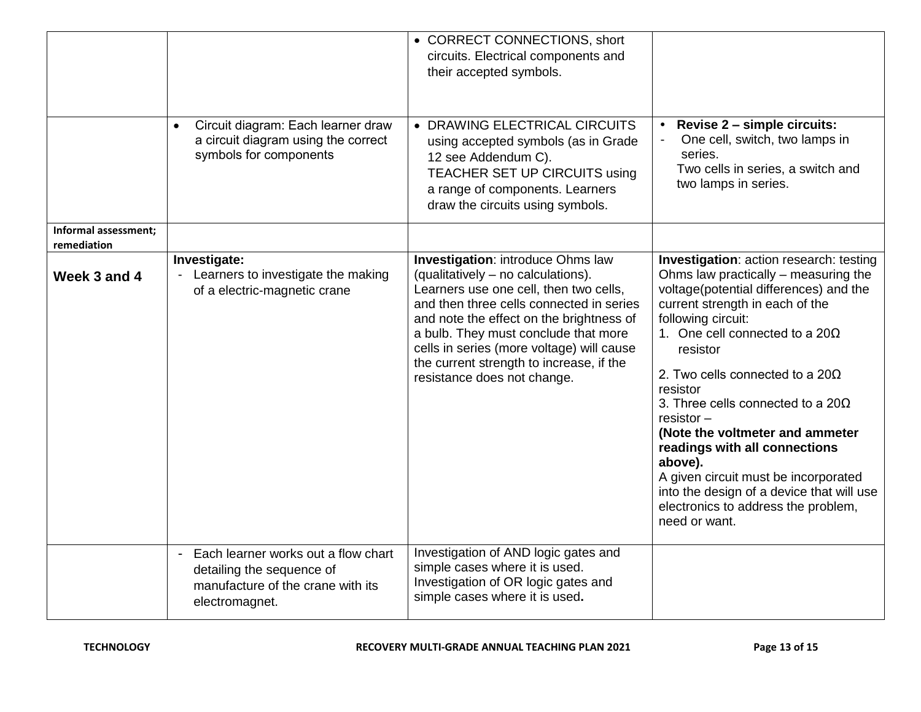|                                     | Circuit diagram: Each learner draw<br>$\bullet$<br>a circuit diagram using the correct<br>symbols for components                          | • CORRECT CONNECTIONS, short<br>circuits. Electrical components and<br>their accepted symbols.<br>• DRAWING ELECTRICAL CIRCUITS<br>using accepted symbols (as in Grade<br>12 see Addendum C).<br>TEACHER SET UP CIRCUITS using<br>a range of components. Learners<br>draw the circuits using symbols.                                                                            | Revise 2 - simple circuits:<br>One cell, switch, two lamps in<br>series.<br>Two cells in series, a switch and<br>two lamps in series.                                                                                                                                                                                                                                                                                                                                                                                                                                                    |
|-------------------------------------|-------------------------------------------------------------------------------------------------------------------------------------------|----------------------------------------------------------------------------------------------------------------------------------------------------------------------------------------------------------------------------------------------------------------------------------------------------------------------------------------------------------------------------------|------------------------------------------------------------------------------------------------------------------------------------------------------------------------------------------------------------------------------------------------------------------------------------------------------------------------------------------------------------------------------------------------------------------------------------------------------------------------------------------------------------------------------------------------------------------------------------------|
| Informal assessment;<br>remediation |                                                                                                                                           |                                                                                                                                                                                                                                                                                                                                                                                  |                                                                                                                                                                                                                                                                                                                                                                                                                                                                                                                                                                                          |
| Week 3 and 4                        | Investigate:<br>Learners to investigate the making<br>of a electric-magnetic crane                                                        | <b>Investigation: introduce Ohms law</b><br>(qualitatively - no calculations).<br>Learners use one cell, then two cells,<br>and then three cells connected in series<br>and note the effect on the brightness of<br>a bulb. They must conclude that more<br>cells in series (more voltage) will cause<br>the current strength to increase, if the<br>resistance does not change. | Investigation: action research: testing<br>Ohms law practically – measuring the<br>voltage(potential differences) and the<br>current strength in each of the<br>following circuit:<br>1. One cell connected to a 20 $\Omega$<br>resistor<br>2. Two cells connected to a 20 $\Omega$<br>resistor<br>3. Three cells connected to a 20 $\Omega$<br>$resistor -$<br>(Note the voltmeter and ammeter<br>readings with all connections<br>above).<br>A given circuit must be incorporated<br>into the design of a device that will use<br>electronics to address the problem,<br>need or want. |
|                                     | Each learner works out a flow chart<br>$\blacksquare$<br>detailing the sequence of<br>manufacture of the crane with its<br>electromagnet. | Investigation of AND logic gates and<br>simple cases where it is used.<br>Investigation of OR logic gates and<br>simple cases where it is used.                                                                                                                                                                                                                                  |                                                                                                                                                                                                                                                                                                                                                                                                                                                                                                                                                                                          |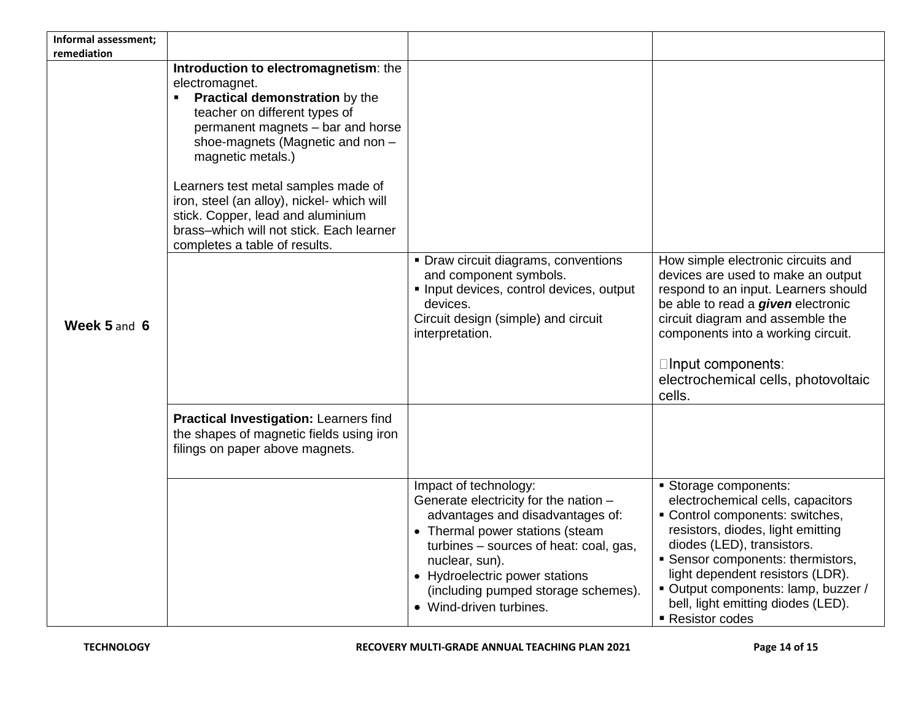| Informal assessment;<br>remediation |                                                                                                                                                                                                                                                                                                                                                                                                                                      |                                                                                                                                                                                                                                                                                                       |                                                                                                                                                                                                                                                                                                                                      |
|-------------------------------------|--------------------------------------------------------------------------------------------------------------------------------------------------------------------------------------------------------------------------------------------------------------------------------------------------------------------------------------------------------------------------------------------------------------------------------------|-------------------------------------------------------------------------------------------------------------------------------------------------------------------------------------------------------------------------------------------------------------------------------------------------------|--------------------------------------------------------------------------------------------------------------------------------------------------------------------------------------------------------------------------------------------------------------------------------------------------------------------------------------|
| Week 5 and 6                        | Introduction to electromagnetism: the<br>electromagnet.<br>Practical demonstration by the<br>٠<br>teacher on different types of<br>permanent magnets - bar and horse<br>shoe-magnets (Magnetic and non -<br>magnetic metals.)<br>Learners test metal samples made of<br>iron, steel (an alloy), nickel- which will<br>stick. Copper, lead and aluminium<br>brass-which will not stick. Each learner<br>completes a table of results. | • Draw circuit diagrams, conventions<br>and component symbols.<br>Input devices, control devices, output<br>devices.<br>Circuit design (simple) and circuit<br>interpretation.                                                                                                                        | How simple electronic circuits and<br>devices are used to make an output<br>respond to an input. Learners should<br>be able to read a <i>given</i> electronic<br>circuit diagram and assemble the<br>components into a working circuit.<br>□Input components:<br>electrochemical cells, photovoltaic<br>cells.                       |
|                                     | Practical Investigation: Learners find<br>the shapes of magnetic fields using iron<br>filings on paper above magnets.                                                                                                                                                                                                                                                                                                                |                                                                                                                                                                                                                                                                                                       |                                                                                                                                                                                                                                                                                                                                      |
|                                     |                                                                                                                                                                                                                                                                                                                                                                                                                                      | Impact of technology:<br>Generate electricity for the nation -<br>advantages and disadvantages of:<br>• Thermal power stations (steam<br>turbines – sources of heat: coal, gas,<br>nuclear, sun).<br>• Hydroelectric power stations<br>(including pumped storage schemes).<br>• Wind-driven turbines. | Storage components:<br>electrochemical cells, capacitors<br>Control components: switches,<br>resistors, diodes, light emitting<br>diodes (LED), transistors.<br>• Sensor components: thermistors,<br>light dependent resistors (LDR).<br>Output components: lamp, buzzer /<br>bell, light emitting diodes (LED).<br>■ Resistor codes |